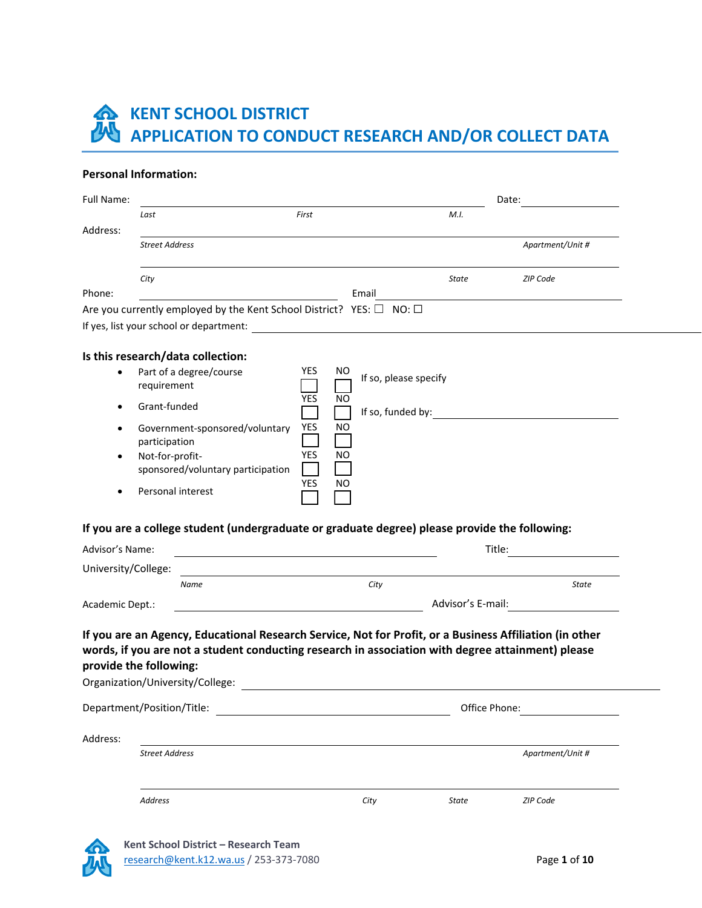# **KENT SCHOOL DISTRICT APPLICATION TO CONDUCT RESEARCH AND/OR COLLECT DATA**

#### **Personal Information:**

| Full Name:                       |                                                                                                                              |                                                                                                                                                                                                              |                   | Date:            |
|----------------------------------|------------------------------------------------------------------------------------------------------------------------------|--------------------------------------------------------------------------------------------------------------------------------------------------------------------------------------------------------------|-------------------|------------------|
|                                  | Last                                                                                                                         | First                                                                                                                                                                                                        | M.I.              |                  |
| Address:                         | <b>Street Address</b>                                                                                                        |                                                                                                                                                                                                              |                   | Apartment/Unit # |
|                                  | City                                                                                                                         |                                                                                                                                                                                                              | <b>State</b>      | <b>ZIP Code</b>  |
| Phone:                           |                                                                                                                              | Email                                                                                                                                                                                                        |                   |                  |
|                                  |                                                                                                                              | Are you currently employed by the Kent School District? YES: $\square$ NO: $\square$                                                                                                                         |                   |                  |
|                                  |                                                                                                                              |                                                                                                                                                                                                              |                   |                  |
|                                  | Is this research/data collection:                                                                                            |                                                                                                                                                                                                              |                   |                  |
| ٠<br>$\bullet$<br>٠<br>$\bullet$ | Part of a degree/course<br>requirement<br>Grant-funded<br>Government-sponsored/voluntary<br>participation<br>Not-for-profit- | <b>YES</b><br>ΝO<br>If so, please specify<br>YES<br>NO<br>If so, funded by:<br>YES<br>NO<br><b>YES</b><br>NO                                                                                                 |                   |                  |
|                                  | sponsored/voluntary participation<br>Personal interest                                                                       | YES<br>NO<br>If you are a college student (undergraduate or graduate degree) please provide the following:                                                                                                   |                   |                  |
| Advisor's Name:                  |                                                                                                                              |                                                                                                                                                                                                              |                   | Title:           |
| University/College:              |                                                                                                                              |                                                                                                                                                                                                              |                   |                  |
|                                  | Name                                                                                                                         | City                                                                                                                                                                                                         |                   | <b>State</b>     |
| Academic Dept.:                  |                                                                                                                              | <u> 1980 - Jan Samuel Barbara, poeta establecidad en la contrada de la contrada de la contrada de la contrada de</u>                                                                                         | Advisor's E-mail: |                  |
|                                  |                                                                                                                              |                                                                                                                                                                                                              |                   |                  |
|                                  | provide the following:<br>Organization/University/College:                                                                   | If you are an Agency, Educational Research Service, Not for Profit, or a Business Affiliation (in other<br>words, if you are not a student conducting research in association with degree attainment) please |                   |                  |
|                                  | Department/Position/Title:                                                                                                   |                                                                                                                                                                                                              | Office Phone:     |                  |
| Address:                         |                                                                                                                              |                                                                                                                                                                                                              |                   |                  |
|                                  | <b>Street Address</b>                                                                                                        |                                                                                                                                                                                                              |                   | Apartment/Unit # |
|                                  | Address                                                                                                                      | City                                                                                                                                                                                                         | State             | ZIP Code         |



**Kent School District – Research Team** research@kent.k12.wa.us / 253-373-7080 Page **1** of **10**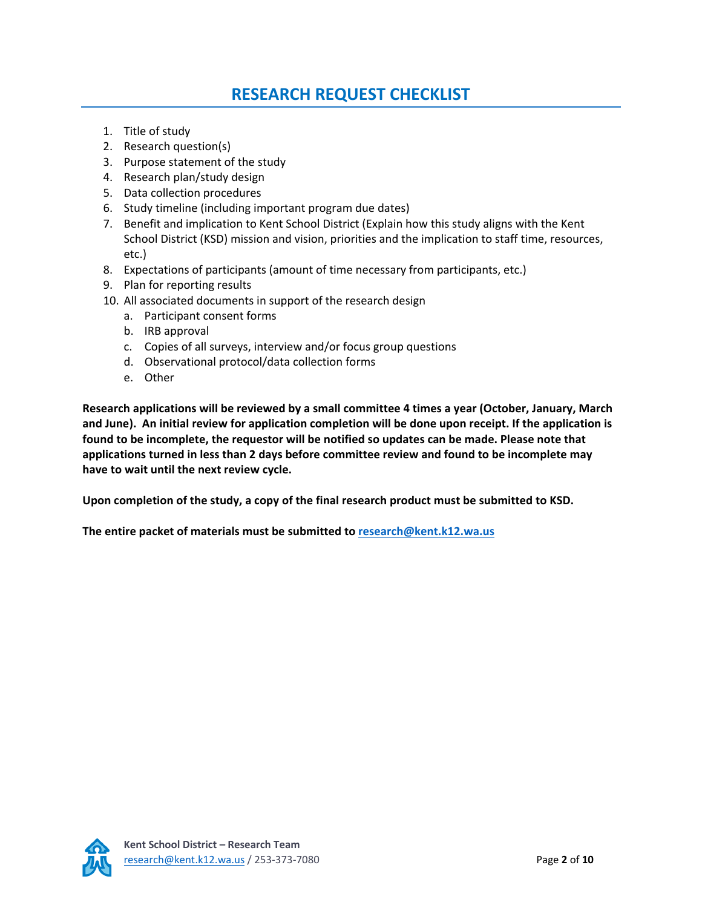## **RESEARCH REQUEST CHECKLIST**

- 1. Title of study
- 2. Research question(s)
- 3. Purpose statement of the study
- 4. Research plan/study design
- 5. Data collection procedures
- 6. Study timeline (including important program due dates)
- 7. Benefit and implication to Kent School District (Explain how this study aligns with the Kent School District (KSD) mission and vision, priorities and the implication to staff time, resources, etc.)
- 8. Expectations of participants (amount of time necessary from participants, etc.)
- 9. Plan for reporting results
- 10. All associated documents in support of the research design
	- a. Participant consent forms
	- b. IRB approval
	- c. Copies of all surveys, interview and/or focus group questions
	- d. Observational protocol/data collection forms
	- e. Other

**Research applications will be reviewed by a small committee 4 times a year (October, January, March and June). An initial review for application completion will be done upon receipt. If the application is found to be incomplete, the requestor will be notified so updates can be made. Please note that applications turned in less than 2 days before committee review and found to be incomplete may have to wait until the next review cycle.**

**Upon completion of the study, a copy of the final research product must be submitted to KSD.**

**The entire packet of materials must be submitted to [research@kent.k12.wa.us](https://kentschooldistrict-my.sharepoint.com/personal/birkea24693e_kent_k12_wa_us/Documents/Research%20and%20Data%20Sharing%20Requests%20and%20Process/research@kent.k12.wa.us)**

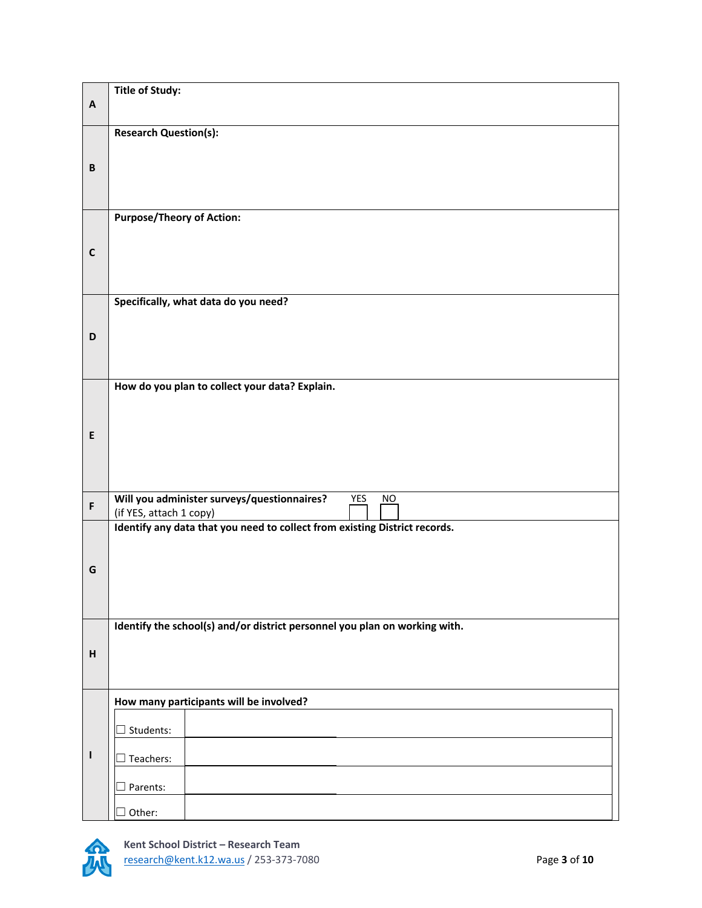|                           | <b>Title of Study:</b>                                                     |  |
|---------------------------|----------------------------------------------------------------------------|--|
| $\boldsymbol{\mathsf{A}}$ |                                                                            |  |
|                           | <b>Research Question(s):</b>                                               |  |
|                           |                                                                            |  |
| $\, {\bf B}$              |                                                                            |  |
|                           |                                                                            |  |
|                           | <b>Purpose/Theory of Action:</b>                                           |  |
|                           |                                                                            |  |
| $\mathsf{C}$              |                                                                            |  |
|                           |                                                                            |  |
|                           | Specifically, what data do you need?                                       |  |
|                           |                                                                            |  |
| D                         |                                                                            |  |
|                           |                                                                            |  |
|                           | How do you plan to collect your data? Explain.                             |  |
|                           |                                                                            |  |
| E                         |                                                                            |  |
|                           |                                                                            |  |
|                           |                                                                            |  |
|                           | Will you administer surveys/questionnaires?<br>YES<br>NO                   |  |
| $\mathsf{F}$              | (if YES, attach 1 copy)                                                    |  |
|                           | Identify any data that you need to collect from existing District records. |  |
|                           |                                                                            |  |
| G                         |                                                                            |  |
|                           |                                                                            |  |
|                           | Identify the school(s) and/or district personnel you plan on working with. |  |
|                           |                                                                            |  |
| $\boldsymbol{\mathsf{H}}$ |                                                                            |  |
|                           |                                                                            |  |
|                           | How many participants will be involved?                                    |  |
|                           | Students:                                                                  |  |
| $\mathbf{I}$              | Teachers:                                                                  |  |
|                           |                                                                            |  |
|                           | Parents:                                                                   |  |
|                           | Other:                                                                     |  |

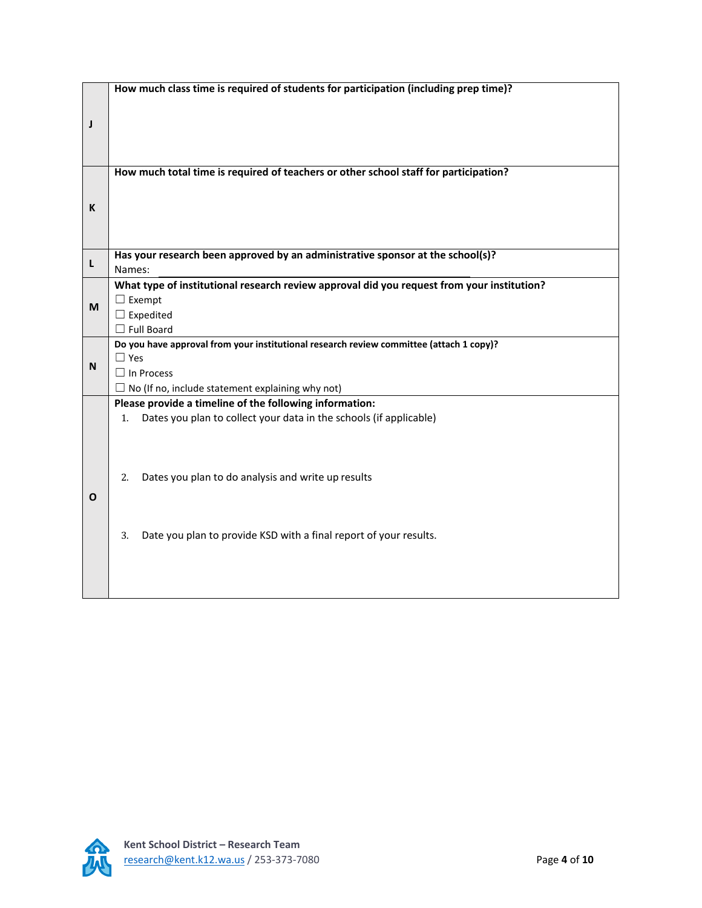|   | How much class time is required of students for participation (including prep time)?       |  |  |
|---|--------------------------------------------------------------------------------------------|--|--|
|   |                                                                                            |  |  |
|   |                                                                                            |  |  |
| J |                                                                                            |  |  |
|   |                                                                                            |  |  |
|   |                                                                                            |  |  |
|   |                                                                                            |  |  |
|   | How much total time is required of teachers or other school staff for participation?       |  |  |
| K |                                                                                            |  |  |
|   |                                                                                            |  |  |
|   |                                                                                            |  |  |
|   |                                                                                            |  |  |
|   |                                                                                            |  |  |
|   | Has your research been approved by an administrative sponsor at the school(s)?             |  |  |
| L | Names:                                                                                     |  |  |
|   | What type of institutional research review approval did you request from your institution? |  |  |
|   | $\Box$ Exempt                                                                              |  |  |
| M | $\Box$ Expedited                                                                           |  |  |
|   | $\Box$ Full Board                                                                          |  |  |
|   | Do you have approval from your institutional research review committee (attach 1 copy)?    |  |  |
|   |                                                                                            |  |  |
|   |                                                                                            |  |  |
| N | $\Box$ Yes                                                                                 |  |  |
|   | $\Box$ In Process                                                                          |  |  |
|   | $\Box$ No (If no, include statement explaining why not)                                    |  |  |
|   | Please provide a timeline of the following information:                                    |  |  |
|   | Dates you plan to collect your data in the schools (if applicable)<br>1.                   |  |  |
|   |                                                                                            |  |  |
|   |                                                                                            |  |  |
|   |                                                                                            |  |  |
|   | Dates you plan to do analysis and write up results<br>2.                                   |  |  |
|   |                                                                                            |  |  |
| O |                                                                                            |  |  |
|   |                                                                                            |  |  |
|   | Date you plan to provide KSD with a final report of your results.<br>3.                    |  |  |
|   |                                                                                            |  |  |
|   |                                                                                            |  |  |
|   |                                                                                            |  |  |

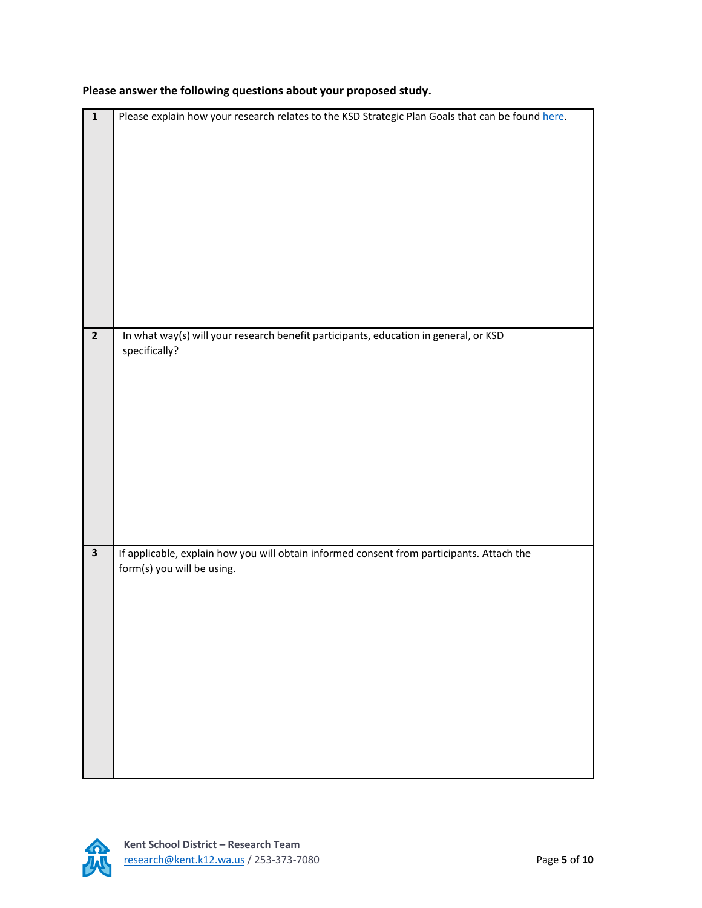| $\overline{\mathbf{1}}$ | Please explain how your research relates to the KSD Strategic Plan Goals that can be found here.                        |
|-------------------------|-------------------------------------------------------------------------------------------------------------------------|
|                         |                                                                                                                         |
| $\overline{2}$          | In what way(s) will your research benefit participants, education in general, or KSD<br>specifically?                   |
| $\mathbf{3}$            | If applicable, explain how you will obtain informed consent from participants. Attach the<br>form(s) you will be using. |

**Please answer the following questions about your proposed study.**

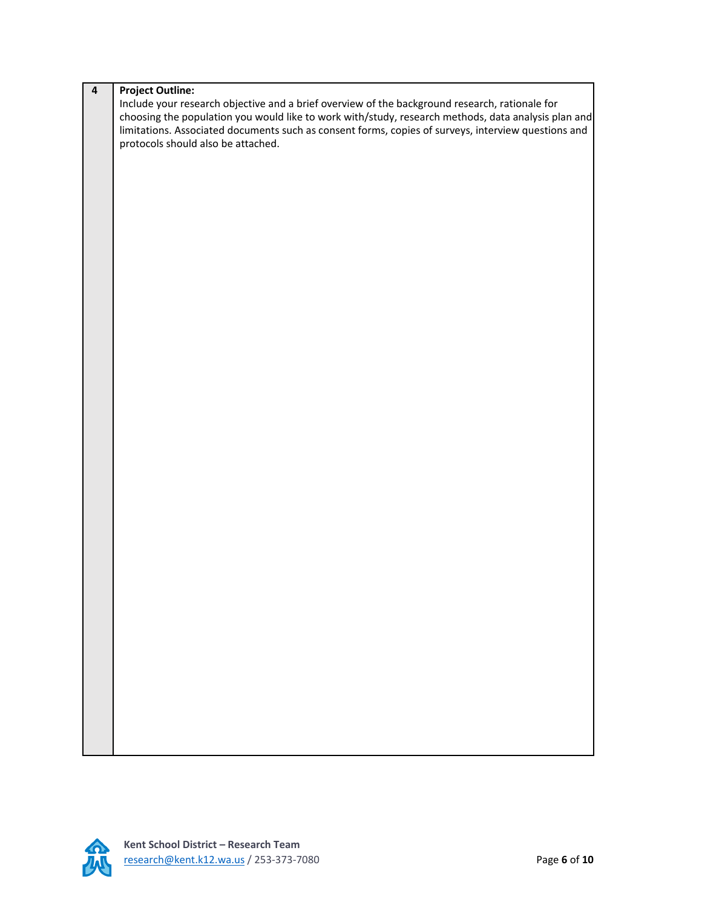| $\overline{\mathbf{4}}$ | <b>Project Outline:</b>                                                                             |
|-------------------------|-----------------------------------------------------------------------------------------------------|
|                         | Include your research objective and a brief overview of the background research, rationale for      |
|                         | choosing the population you would like to work with/study, research methods, data analysis plan and |
|                         | limitations. Associated documents such as consent forms, copies of surveys, interview questions and |
|                         | protocols should also be attached.                                                                  |
|                         |                                                                                                     |
|                         |                                                                                                     |
|                         |                                                                                                     |
|                         |                                                                                                     |
|                         |                                                                                                     |
|                         |                                                                                                     |
|                         |                                                                                                     |
|                         |                                                                                                     |
|                         |                                                                                                     |
|                         |                                                                                                     |
|                         |                                                                                                     |
|                         |                                                                                                     |
|                         |                                                                                                     |
|                         |                                                                                                     |
|                         |                                                                                                     |
|                         |                                                                                                     |
|                         |                                                                                                     |
|                         |                                                                                                     |
|                         |                                                                                                     |
|                         |                                                                                                     |
|                         |                                                                                                     |
|                         |                                                                                                     |
|                         |                                                                                                     |
|                         |                                                                                                     |
|                         |                                                                                                     |
|                         |                                                                                                     |
|                         |                                                                                                     |
|                         |                                                                                                     |
|                         |                                                                                                     |
|                         |                                                                                                     |
|                         |                                                                                                     |
|                         |                                                                                                     |
|                         |                                                                                                     |
|                         |                                                                                                     |
|                         |                                                                                                     |
|                         |                                                                                                     |
|                         |                                                                                                     |
|                         |                                                                                                     |
|                         |                                                                                                     |
|                         |                                                                                                     |
|                         |                                                                                                     |
|                         |                                                                                                     |
|                         |                                                                                                     |
|                         |                                                                                                     |
|                         |                                                                                                     |
|                         |                                                                                                     |
|                         |                                                                                                     |

 $\overline{\mathcal{H}}$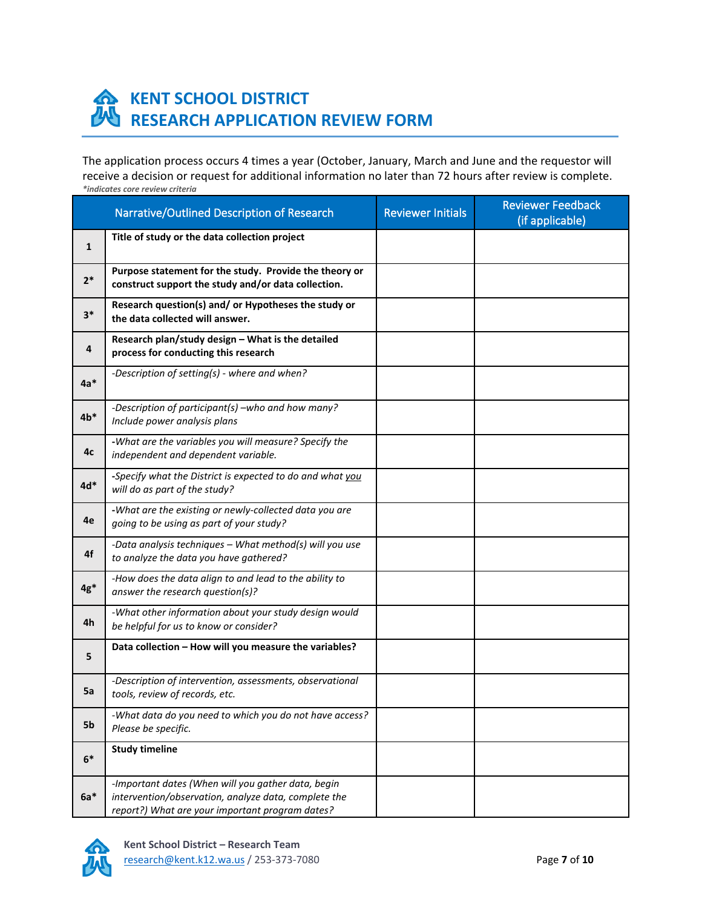

## **KENT SCHOOL DISTRICT RESEARCH APPLICATION REVIEW FORM**

The application process occurs 4 times a year (October, January, March and June and the requestor will receive a decision or request for additional information no later than 72 hours after review is complete. *\*indicates core review criteria*

|              | Narrative/Outlined Description of Research                                                                                                                    | <b>Reviewer Initials</b> | <b>Reviewer Feedback</b><br>(if applicable) |
|--------------|---------------------------------------------------------------------------------------------------------------------------------------------------------------|--------------------------|---------------------------------------------|
| $\mathbf{1}$ | Title of study or the data collection project                                                                                                                 |                          |                                             |
| $2*$         | Purpose statement for the study. Provide the theory or<br>construct support the study and/or data collection.                                                 |                          |                                             |
| $3*$         | Research question(s) and/ or Hypotheses the study or<br>the data collected will answer.                                                                       |                          |                                             |
| 4            | Research plan/study design - What is the detailed<br>process for conducting this research                                                                     |                          |                                             |
| $4a*$        | -Description of setting(s) - where and when?                                                                                                                  |                          |                                             |
| $4b*$        | -Description of participant(s) -who and how many?<br>Include power analysis plans                                                                             |                          |                                             |
| 4с           | -What are the variables you will measure? Specify the<br>independent and dependent variable.                                                                  |                          |                                             |
| $4d*$        | -Specify what the District is expected to do and what you<br>will do as part of the study?                                                                    |                          |                                             |
| 4e           | -What are the existing or newly-collected data you are<br>going to be using as part of your study?                                                            |                          |                                             |
| 4f           | -Data analysis techniques - What method(s) will you use<br>to analyze the data you have gathered?                                                             |                          |                                             |
| $4g*$        | -How does the data align to and lead to the ability to<br>answer the research question(s)?                                                                    |                          |                                             |
| 4h           | -What other information about your study design would<br>be helpful for us to know or consider?                                                               |                          |                                             |
| 5            | Data collection - How will you measure the variables?                                                                                                         |                          |                                             |
| 5a           | -Description of intervention, assessments, observational<br>tools, review of records, etc.                                                                    |                          |                                             |
| 5b           | -What data do you need to which you do not have access?<br>Please be specific.                                                                                |                          |                                             |
| $6*$         | <b>Study timeline</b>                                                                                                                                         |                          |                                             |
| $6a*$        | -Important dates (When will you gather data, begin<br>intervention/observation, analyze data, complete the<br>report?) What are your important program dates? |                          |                                             |

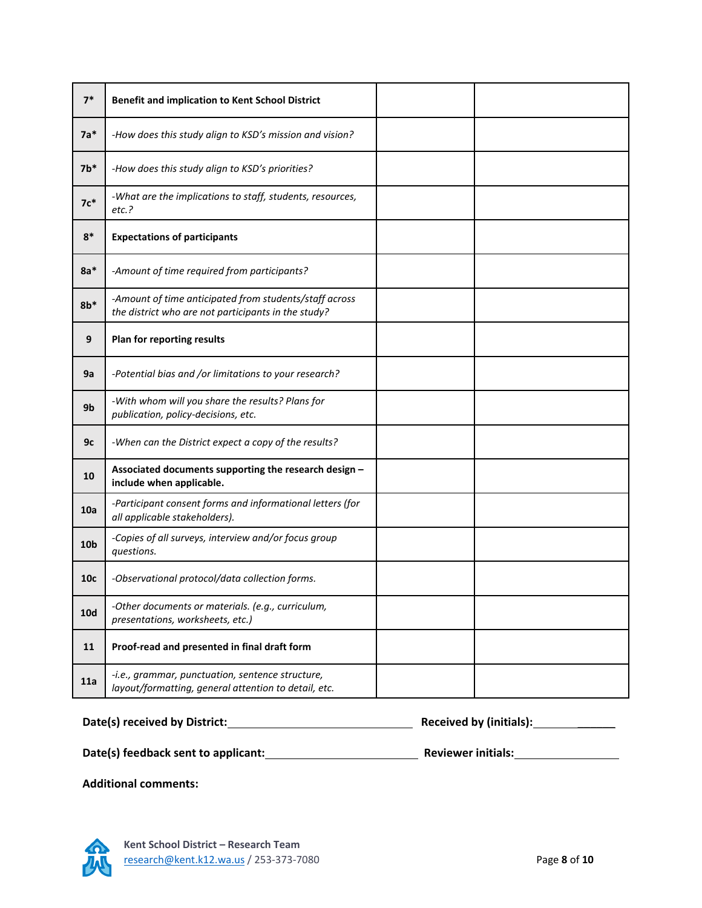| $7*$            | <b>Benefit and implication to Kent School District</b>                                                        |  |
|-----------------|---------------------------------------------------------------------------------------------------------------|--|
| $7a*$           | -How does this study align to KSD's mission and vision?                                                       |  |
| $7b*$           | -How does this study align to KSD's priorities?                                                               |  |
| $7c*$           | -What are the implications to staff, students, resources,<br>$etc.$ ?                                         |  |
| $8*$            | <b>Expectations of participants</b>                                                                           |  |
| $8a*$           | -Amount of time required from participants?                                                                   |  |
| $8b*$           | -Amount of time anticipated from students/staff across<br>the district who are not participants in the study? |  |
| 9               | Plan for reporting results                                                                                    |  |
| 9a              | -Potential bias and /or limitations to your research?                                                         |  |
| 9b              | -With whom will you share the results? Plans for<br>publication, policy-decisions, etc.                       |  |
| 9c              | -When can the District expect a copy of the results?                                                          |  |
| 10              | Associated documents supporting the research design -<br>include when applicable.                             |  |
| 10a             | -Participant consent forms and informational letters (for<br>all applicable stakeholders).                    |  |
| 10 <sub>b</sub> | -Copies of all surveys, interview and/or focus group<br>questions.                                            |  |
| 10c             | -Observational protocol/data collection forms.                                                                |  |
| <b>10d</b>      | -Other documents or materials. (e.g., curriculum,<br>presentations, worksheets, etc.)                         |  |
| 11              | Proof-read and presented in final draft form                                                                  |  |
| 11a             | -i.e., grammar, punctuation, sentence structure,<br>layout/formatting, general attention to detail, etc.      |  |

**Date(s) received by District: Received by (initials):** \_\_\_\_\_\_ **Date(s) feedback sent to applicant: Reviewer initials:**

**Additional comments:** 

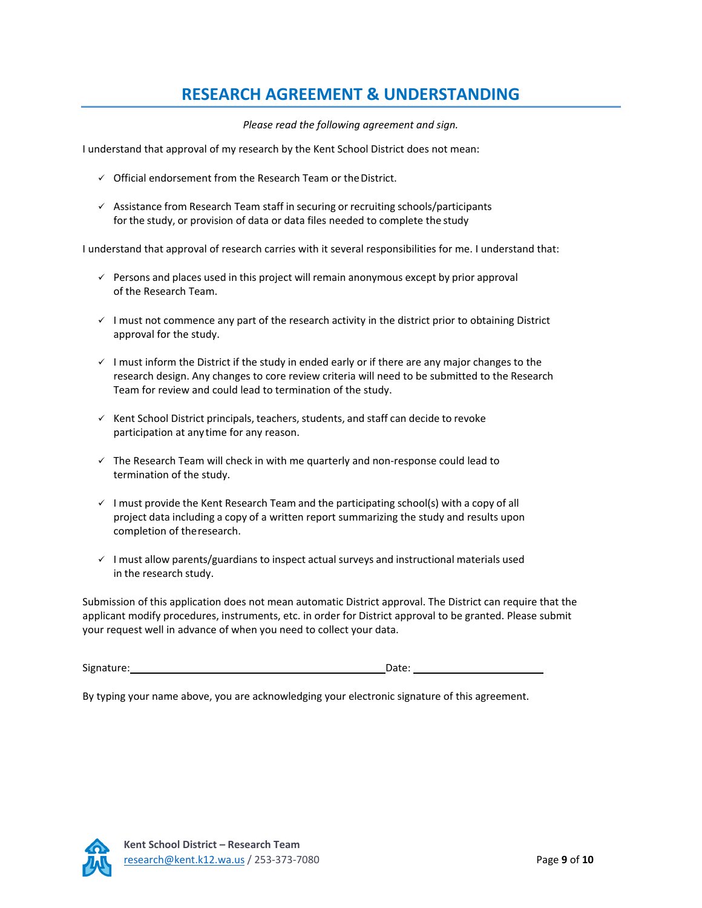## **RESEARCH AGREEMENT & UNDERSTANDING**

*Please read the following agreement and sign.*

I understand that approval of my research by the Kent School District does not mean:

- $\checkmark$  Official endorsement from the Research Team or the District.
- $\checkmark$  Assistance from Research Team staff in securing or recruiting schools/participants for the study, or provision of data or data files needed to complete the study

I understand that approval of research carries with it several responsibilities for me. I understand that:

- $\checkmark$  Persons and places used in this project will remain anonymous except by prior approval of the Research Team.
- $\checkmark$  I must not commence any part of the research activity in the district prior to obtaining District approval for the study.
- $\checkmark$  I must inform the District if the study in ended early or if there are any major changes to the research design. Any changes to core review criteria will need to be submitted to the Research Team for review and could lead to termination of the study.
- $\checkmark$  Kent School District principals, teachers, students, and staff can decide to revoke participation at any time for any reason.
- $\checkmark$  The Research Team will check in with me quarterly and non-response could lead to termination of the study.
- $\checkmark$  I must provide the Kent Research Team and the participating school(s) with a copy of all project data including a copy of a written report summarizing the study and results upon completion of theresearch.
- $\checkmark$  I must allow parents/guardians to inspect actual surveys and instructional materials used in the research study.

Submission of this application does not mean automatic District approval. The District can require that the applicant modify procedures, instruments, etc. in order for District approval to be granted. Please submit your request well in advance of when you need to collect your data.

Signature: Date: Date:

By typing your name above, you are acknowledging your electronic signature of this agreement.